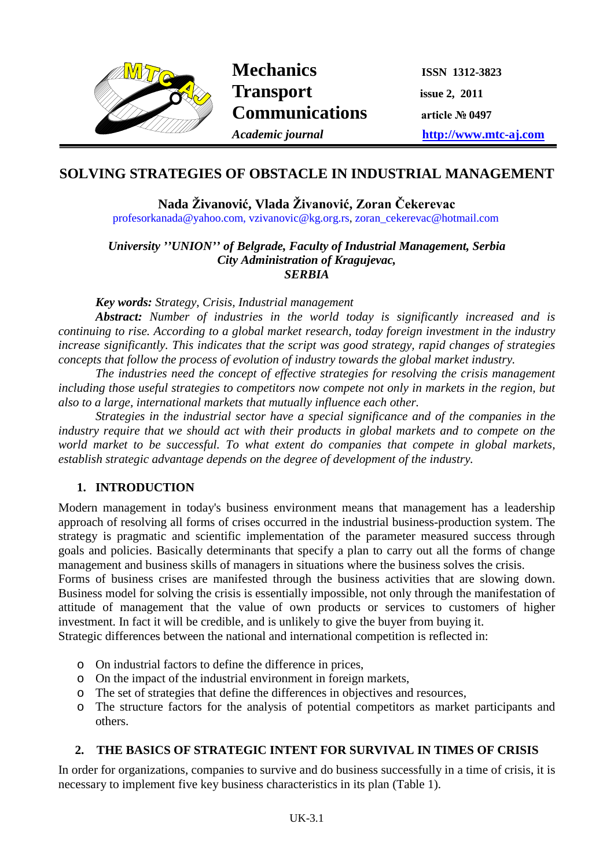

Mechanics **ISSN 1312-3823 Transport** issue 2, 2011 **Communications article № <sup>0497</sup>**

*Academic journal* **http://www.mtc-aj.com**

# **SOLVING STRATEGIES OF OBSTACLE IN INDUSTRIAL MANAGEMENT**

**Nada Živanović, Vlada Živanović, Zoran Čekerevac** profesorkanada@yahoo.com, [vzivanovic@kg.org.rs,](mailto:vzivanovic@kg.org.rs) zoran\_cekerevac@hotmail.com

*University ''UNION'' of Belgrade, Faculty of Industrial Management, Serbia City Administration of Kragujevac, SERBIA*

#### *Key words: Strategy, Crisis, Industrial management*

*Abstract: Number of industries in the world today is significantly increased and is continuing to rise. According to a global market research, today foreign investment in the industry increase significantly. This indicates that the script was good strategy, rapid changes of strategies concepts that follow the process of evolution of industry towards the global market industry.*

*The industries need the concept of effective strategies for resolving the crisis management including those useful strategies to competitors now compete not only in markets in the region, but also to a large, international markets that mutually influence each other.*

*Strategies in the industrial sector have a special significance and of the companies in the industry require that we should act with their products in global markets and to compete on the world market to be successful. To what extent do companies that compete in global markets, establish strategic advantage depends on the degree of development of the industry.* 

# **1. INTRODUCTION**

Modern management in today's business environment means that management has a leadership approach of resolving all forms of crises occurred in the industrial business-production system. The strategy is pragmatic and scientific implementation of the parameter measured success through goals and policies. Basically determinants that specify a plan to carry out all the forms of change management and business skills of managers in situations where the business solves the crisis.

Forms of business crises are manifested through the business activities that are slowing down. Business model for solving the crisis is essentially impossible, not only through the manifestation of attitude of management that the value of own products or services to customers of higher investment. In fact it will be credible, and is unlikely to give the buyer from buying it.

Strategic differences between the national and international competition is reflected in:

- o On industrial factors to define the difference in prices,
- o On the impact of the industrial environment in foreign markets,
- o The set of strategies that define the differences in objectives and resources,
- o The structure factors for the analysis of potential competitors as market participants and others.

#### **2. THE BASICS OF STRATEGIC INTENT FOR SURVIVAL IN TIMES OF CRISIS**

In order for organizations, companies to survive and do business successfully in a time of crisis, it is necessary to implement five key business characteristics in its plan (Table 1).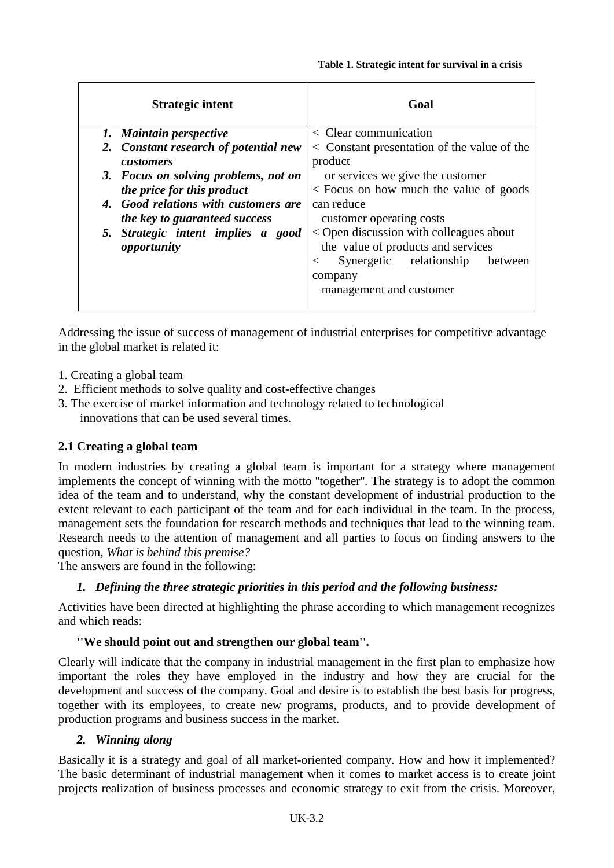| <b>Strategic intent</b>               | Goal                                          |
|---------------------------------------|-----------------------------------------------|
| 1. Maintain perspective               | $\langle$ Clear communication                 |
| 2. Constant research of potential new | < Constant presentation of the value of the   |
| <i>customers</i>                      | product                                       |
| 3. Focus on solving problems, not on  | or services we give the customer              |
| the price for this product            | < Focus on how much the value of goods        |
| 4. Good relations with customers are  | can reduce                                    |
| the key to guaranteed success         | customer operating costs                      |
| 5. Strategic intent implies a good    | < Open discussion with colleagues about       |
| opportunity                           | the value of products and services            |
|                                       | Synergetic relationship<br>between<br>$\,<\,$ |
|                                       | company                                       |
|                                       | management and customer                       |

Addressing the issue of success of management of industrial enterprises for competitive advantage in the global market is related it:

- 1. Creating a global team
- 2. Efficient methods to solve quality and cost-effective changes
- 3. The exercise of market information and technology related to technological innovations that can be used several times.

# **2.1 Creating a global team**

In modern industries by creating a global team is important for a strategy where management implements the concept of winning with the motto ''together''. The strategy is to adopt the common idea of the team and to understand, why the constant development of industrial production to the extent relevant to each participant of the team and for each individual in the team. In the process, management sets the foundation for research methods and techniques that lead to the winning team. Research needs to the attention of management and all parties to focus on finding answers to the question, *What is behind this premise?*

The answers are found in the following:

# *1. Defining the three strategic priorities in this period and the following business:*

Activities have been directed at highlighting the phrase according to which management recognizes and which reads:

#### **''We should point out and strengthen our global team''.**

Clearly will indicate that the company in industrial management in the first plan to emphasize how important the roles they have employed in the industry and how they are crucial for the development and success of the company. Goal and desire is to establish the best basis for progress, together with its employees, to create new programs, products, and to provide development of production programs and business success in the market.

#### *2. Winning along*

Basically it is a strategy and goal of all market-oriented company. How and how it implemented? The basic determinant of industrial management when it comes to market access is to create joint projects realization of business processes and economic strategy to exit from the crisis. Moreover,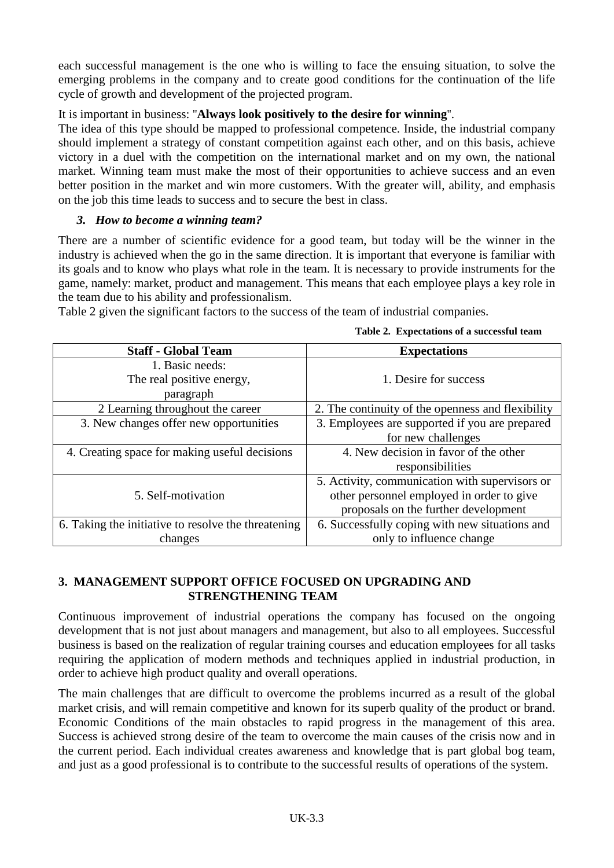each successful management is the one who is willing to face the ensuing situation, to solve the emerging problems in the company and to create good conditions for the continuation of the life cycle of growth and development of the projected program.

#### It is important in business: ''**Always look positively to the desire for winning**''.

The idea of this type should be mapped to professional competence. Inside, the industrial company should implement a strategy of constant competition against each other, and on this basis, achieve victory in a duel with the competition on the international market and on my own, the national market. Winning team must make the most of their opportunities to achieve success and an even better position in the market and win more customers. With the greater will, ability, and emphasis on the job this time leads to success and to secure the best in class.

#### *3. How to become a winning team?*

There are a number of scientific evidence for a good team, but today will be the winner in the industry is achieved when the go in the same direction. It is important that everyone is familiar with its goals and to know who plays what role in the team. It is necessary to provide instruments for the game, namely: market, product and management. This means that each employee plays a key role in the team due to his ability and professionalism.

Table 2 given the significant factors to the success of the team of industrial companies.

| <b>Staff - Global Team</b>                          | <b>Expectations</b>                               |
|-----------------------------------------------------|---------------------------------------------------|
| 1. Basic needs:                                     |                                                   |
| The real positive energy,                           | 1. Desire for success                             |
| paragraph                                           |                                                   |
| 2 Learning throughout the career                    | 2. The continuity of the openness and flexibility |
| 3. New changes offer new opportunities              | 3. Employees are supported if you are prepared    |
|                                                     | for new challenges                                |
| 4. Creating space for making useful decisions       | 4. New decision in favor of the other             |
|                                                     | responsibilities                                  |
|                                                     | 5. Activity, communication with supervisors or    |
| 5. Self-motivation                                  | other personnel employed in order to give         |
|                                                     | proposals on the further development              |
| 6. Taking the initiative to resolve the threatening | 6. Successfully coping with new situations and    |
| changes                                             | only to influence change                          |

**Table 2. Expectations of a successful team**

# **3. MANAGEMENT SUPPORT OFFICE FOCUSED ON UPGRADING AND STRENGTHENING TEAM**

Continuous improvement of industrial operations the company has focused on the ongoing development that is not just about managers and management, but also to all employees. Successful business is based on the realization of regular training courses and education employees for all tasks requiring the application of modern methods and techniques applied in industrial production, in order to achieve high product quality and overall operations.

The main challenges that are difficult to overcome the problems incurred as a result of the global market crisis, and will remain competitive and known for its superb quality of the product or brand. Economic Conditions of the main obstacles to rapid progress in the management of this area. Success is achieved strong desire of the team to overcome the main causes of the crisis now and in the current period. Each individual creates awareness and knowledge that is part global bog team, and just as a good professional is to contribute to the successful results of operations of the system.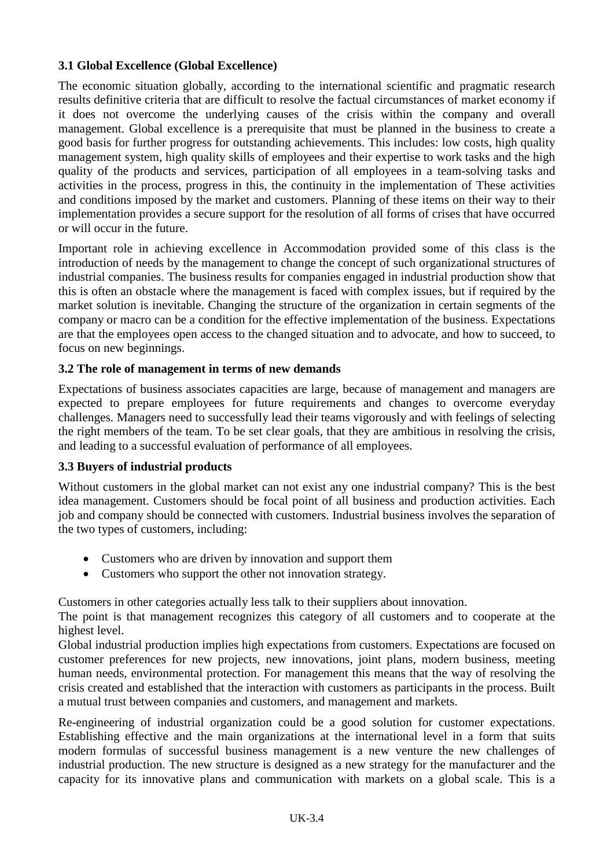### **3.1 Global Excellence (Global Excellence)**

The economic situation globally, according to the international scientific and pragmatic research results definitive criteria that are difficult to resolve the factual circumstances of market economy if it does not overcome the underlying causes of the crisis within the company and overall management. Global excellence is a prerequisite that must be planned in the business to create a good basis for further progress for outstanding achievements. This includes: low costs, high quality management system, high quality skills of employees and their expertise to work tasks and the high quality of the products and services, participation of all employees in a team-solving tasks and activities in the process, progress in this, the continuity in the implementation of These activities and conditions imposed by the market and customers. Planning of these items on their way to their implementation provides a secure support for the resolution of all forms of crises that have occurred or will occur in the future.

Important role in achieving excellence in Accommodation provided some of this class is the introduction of needs by the management to change the concept of such organizational structures of industrial companies. The business results for companies engaged in industrial production show that this is often an obstacle where the management is faced with complex issues, but if required by the market solution is inevitable. Changing the structure of the organization in certain segments of the company or macro can be a condition for the effective implementation of the business. Expectations are that the employees open access to the changed situation and to advocate, and how to succeed, to focus on new beginnings.

### **3.2 The role of management in terms of new demands**

Expectations of business associates capacities are large, because of management and managers are expected to prepare employees for future requirements and changes to overcome everyday challenges. Managers need to successfully lead their teams vigorously and with feelings of selecting the right members of the team. To be set clear goals, that they are ambitious in resolving the crisis, and leading to a successful evaluation of performance of all employees.

#### **3.3 Buyers of industrial products**

Without customers in the global market can not exist any one industrial company? This is the best idea management. Customers should be focal point of all business and production activities. Each job and company should be connected with customers. Industrial business involves the separation of the two types of customers, including:

- Customers who are driven by innovation and support them
- Customers who support the other not innovation strategy.

Customers in other categories actually less talk to their suppliers about innovation.

The point is that management recognizes this category of all customers and to cooperate at the highest level.

Global industrial production implies high expectations from customers. Expectations are focused on customer preferences for new projects, new innovations, joint plans, modern business, meeting human needs, environmental protection. For management this means that the way of resolving the crisis created and established that the interaction with customers as participants in the process. Built a mutual trust between companies and customers, and management and markets.

Re-engineering of industrial organization could be a good solution for customer expectations. Establishing effective and the main organizations at the international level in a form that suits modern formulas of successful business management is a new venture the new challenges of industrial production. The new structure is designed as a new strategy for the manufacturer and the capacity for its innovative plans and communication with markets on a global scale. This is a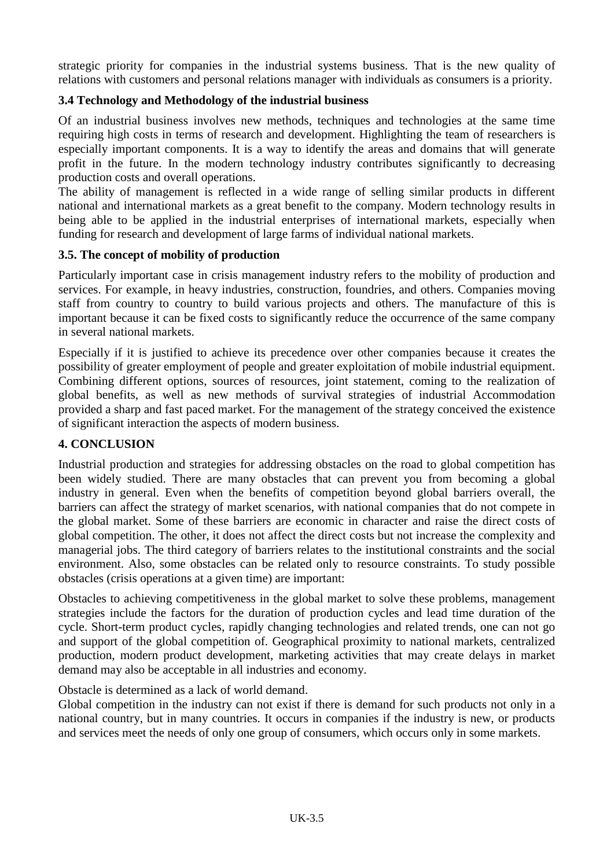strategic priority for companies in the industrial systems business. That is the new quality of relations with customers and personal relations manager with individuals as consumers is a priority.

### **3.4 Technology and Methodology of the industrial business**

Of an industrial business involves new methods, techniques and technologies at the same time requiring high costs in terms of research and development. Highlighting the team of researchers is especially important components. It is a way to identify the areas and domains that will generate profit in the future. In the modern technology industry contributes significantly to decreasing production costs and overall operations.

The ability of management is reflected in a wide range of selling similar products in different national and international markets as a great benefit to the company. Modern technology results in being able to be applied in the industrial enterprises of international markets, especially when funding for research and development of large farms of individual national markets.

#### **3.5. The concept of mobility of production**

Particularly important case in crisis management industry refers to the mobility of production and services. For example, in heavy industries, construction, foundries, and others. Companies moving staff from country to country to build various projects and others. The manufacture of this is important because it can be fixed costs to significantly reduce the occurrence of the same company in several national markets.

Especially if it is justified to achieve its precedence over other companies because it creates the possibility of greater employment of people and greater exploitation of mobile industrial equipment. Combining different options, sources of resources, joint statement, coming to the realization of global benefits, as well as new methods of survival strategies of industrial Accommodation provided a sharp and fast paced market. For the management of the strategy conceived the existence of significant interaction the aspects of modern business.

#### **4. CONCLUSION**

Industrial production and strategies for addressing obstacles on the road to global competition has been widely studied. There are many obstacles that can prevent you from becoming a global industry in general. Even when the benefits of competition beyond global barriers overall, the barriers can affect the strategy of market scenarios, with national companies that do not compete in the global market. Some of these barriers are economic in character and raise the direct costs of global competition. The other, it does not affect the direct costs but not increase the complexity and managerial jobs. The third category of barriers relates to the institutional constraints and the social environment. Also, some obstacles can be related only to resource constraints. To study possible obstacles (crisis operations at a given time) are important:

Obstacles to achieving competitiveness in the global market to solve these problems, management strategies include the factors for the duration of production cycles and lead time duration of the cycle. Short-term product cycles, rapidly changing technologies and related trends, one can not go and support of the global competition of. Geographical proximity to national markets, centralized production, modern product development, marketing activities that may create delays in market demand may also be acceptable in all industries and economy.

Obstacle is determined as a lack of world demand.

Global competition in the industry can not exist if there is demand for such products not only in a national country, but in many countries. It occurs in companies if the industry is new, or products and services meet the needs of only one group of consumers, which occurs only in some markets.